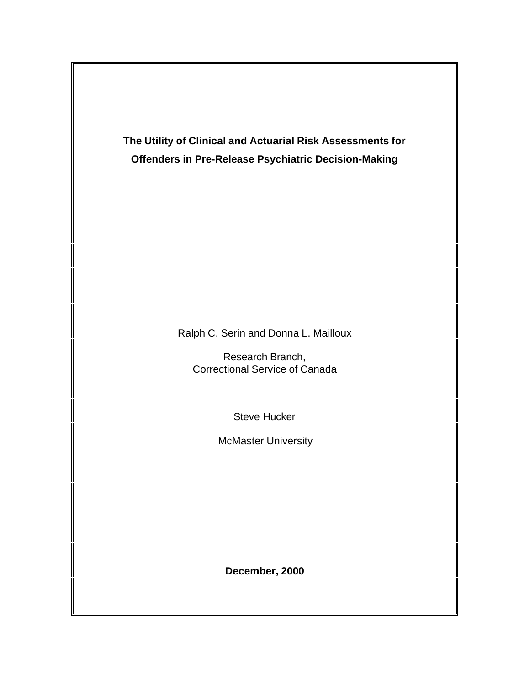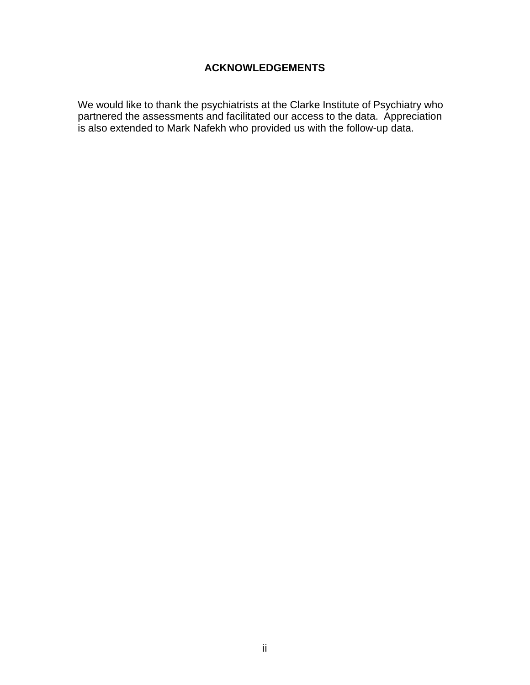# **ACKNOWLEDGEMENTS**

We would like to thank the psychiatrists at the Clarke Institute of Psychiatry who partnered the assessments and facilitated our access to the data. Appreciation is also extended to Mark Nafekh who provided us with the follow-up data.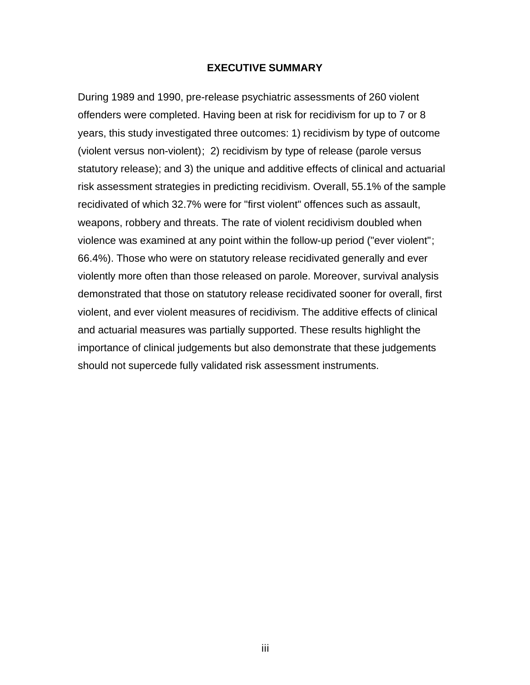### **EXECUTIVE SUMMARY**

During 1989 and 1990, pre-release psychiatric assessments of 260 violent offenders were completed. Having been at risk for recidivism for up to 7 or 8 years, this study investigated three outcomes: 1) recidivism by type of outcome (violent versus non-violent); 2) recidivism by type of release (parole versus statutory release); and 3) the unique and additive effects of clinical and actuarial risk assessment strategies in predicting recidivism. Overall, 55.1% of the sample recidivated of which 32.7% were for "first violent" offences such as assault, weapons, robbery and threats. The rate of violent recidivism doubled when violence was examined at any point within the follow-up period ("ever violent"; 66.4%). Those who were on statutory release recidivated generally and ever violently more often than those released on parole. Moreover, survival analysis demonstrated that those on statutory release recidivated sooner for overall, first violent, and ever violent measures of recidivism. The additive effects of clinical and actuarial measures was partially supported. These results highlight the importance of clinical judgements but also demonstrate that these judgements should not supercede fully validated risk assessment instruments.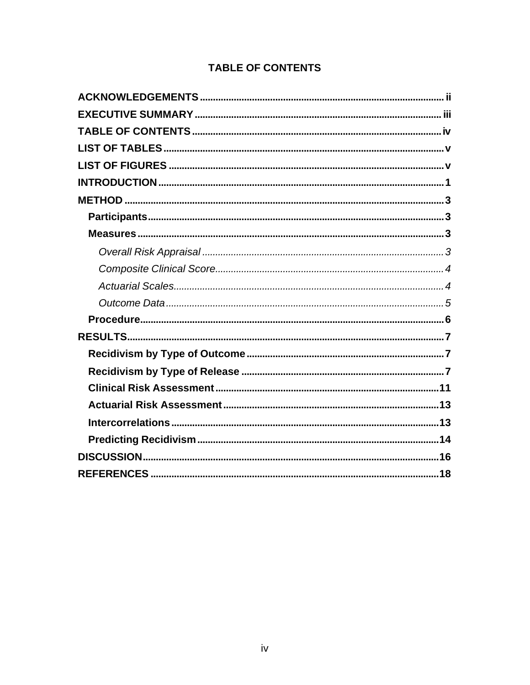# **TABLE OF CONTENTS**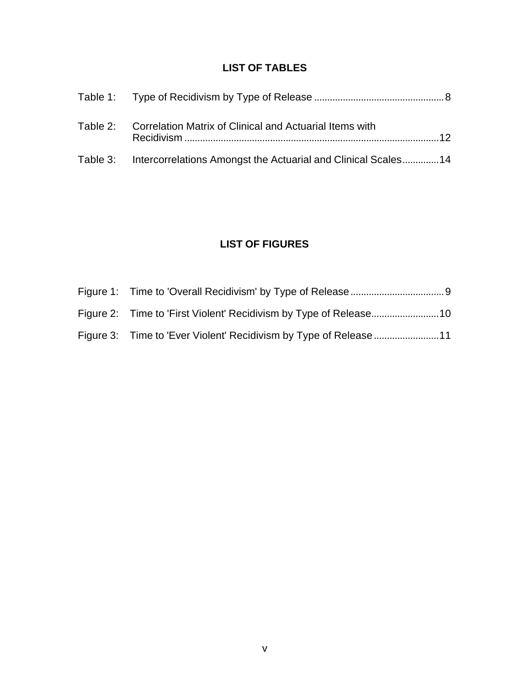# **LIST OF TABLES**

| Table 2: Correlation Matrix of Clinical and Actuarial Items with       |
|------------------------------------------------------------------------|
| Table 3: Intercorrelations Amongst the Actuarial and Clinical Scales14 |

# **LIST OF FIGURES**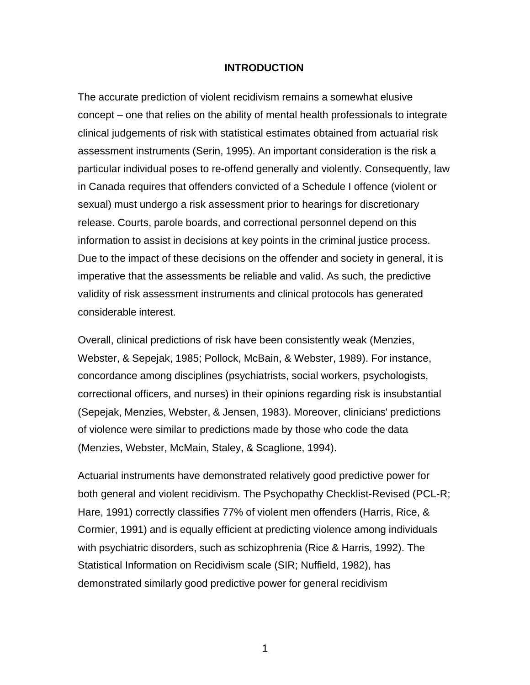### **INTRODUCTION**

The accurate prediction of violent recidivism remains a somewhat elusive concept – one that relies on the ability of mental health professionals to integrate clinical judgements of risk with statistical estimates obtained from actuarial risk assessment instruments (Serin, 1995). An important consideration is the risk a particular individual poses to re-offend generally and violently. Consequently, law in Canada requires that offenders convicted of a Schedule I offence (violent or sexual) must undergo a risk assessment prior to hearings for discretionary release. Courts, parole boards, and correctional personnel depend on this information to assist in decisions at key points in the criminal justice process. Due to the impact of these decisions on the offender and society in general, it is imperative that the assessments be reliable and valid. As such, the predictive validity of risk assessment instruments and clinical protocols has generated considerable interest.

Overall, clinical predictions of risk have been consistently weak (Menzies, Webster, & Sepejak, 1985; Pollock, McBain, & Webster, 1989). For instance, concordance among disciplines (psychiatrists, social workers, psychologists, correctional officers, and nurses) in their opinions regarding risk is insubstantial (Sepejak, Menzies, Webster, & Jensen, 1983). Moreover, clinicians' predictions of violence were similar to predictions made by those who code the data (Menzies, Webster, McMain, Staley, & Scaglione, 1994).

Actuarial instruments have demonstrated relatively good predictive power for both general and violent recidivism. The Psychopathy Checklist-Revised (PCL-R; Hare, 1991) correctly classifies 77% of violent men offenders (Harris, Rice, & Cormier, 1991) and is equally efficient at predicting violence among individuals with psychiatric disorders, such as schizophrenia (Rice & Harris, 1992). The Statistical Information on Recidivism scale (SIR; Nuffield, 1982), has demonstrated similarly good predictive power for general recidivism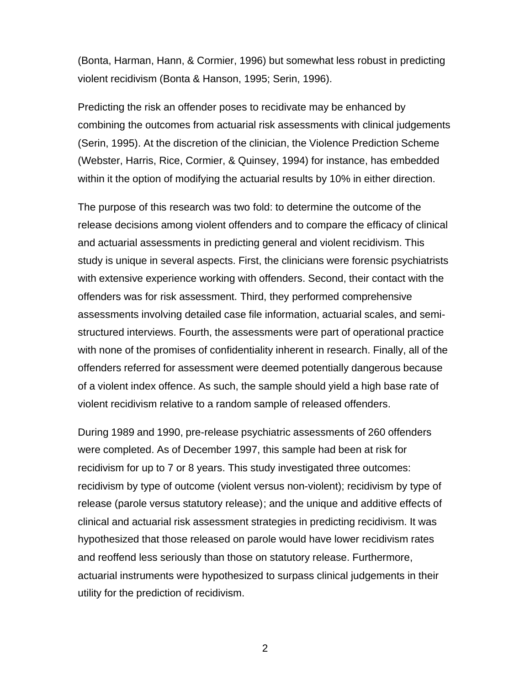(Bonta, Harman, Hann, & Cormier, 1996) but somewhat less robust in predicting violent recidivism (Bonta & Hanson, 1995; Serin, 1996).

Predicting the risk an offender poses to recidivate may be enhanced by combining the outcomes from actuarial risk assessments with clinical judgements (Serin, 1995). At the discretion of the clinician, the Violence Prediction Scheme (Webster, Harris, Rice, Cormier, & Quinsey, 1994) for instance, has embedded within it the option of modifying the actuarial results by 10% in either direction.

The purpose of this research was two fold: to determine the outcome of the release decisions among violent offenders and to compare the efficacy of clinical and actuarial assessments in predicting general and violent recidivism. This study is unique in several aspects. First, the clinicians were forensic psychiatrists with extensive experience working with offenders. Second, their contact with the offenders was for risk assessment. Third, they performed comprehensive assessments involving detailed case file information, actuarial scales, and semistructured interviews. Fourth, the assessments were part of operational practice with none of the promises of confidentiality inherent in research. Finally, all of the offenders referred for assessment were deemed potentially dangerous because of a violent index offence. As such, the sample should yield a high base rate of violent recidivism relative to a random sample of released offenders.

During 1989 and 1990, pre-release psychiatric assessments of 260 offenders were completed. As of December 1997, this sample had been at risk for recidivism for up to 7 or 8 years. This study investigated three outcomes: recidivism by type of outcome (violent versus non-violent); recidivism by type of release (parole versus statutory release); and the unique and additive effects of clinical and actuarial risk assessment strategies in predicting recidivism. It was hypothesized that those released on parole would have lower recidivism rates and reoffend less seriously than those on statutory release. Furthermore, actuarial instruments were hypothesized to surpass clinical judgements in their utility for the prediction of recidivism.

2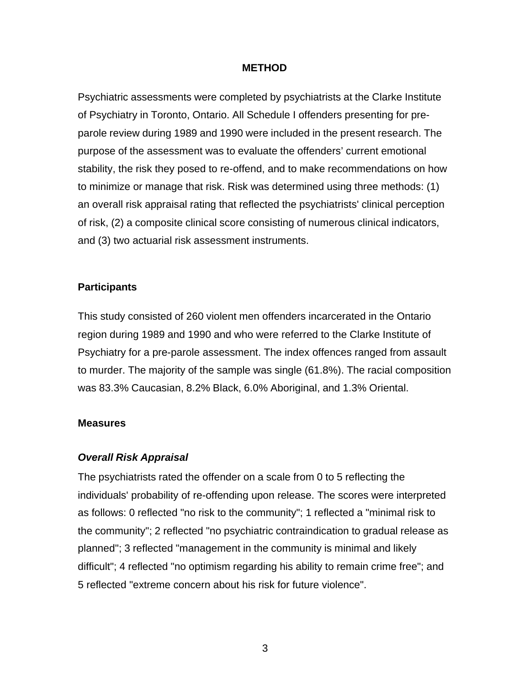### **METHOD**

Psychiatric assessments were completed by psychiatrists at the Clarke Institute of Psychiatry in Toronto, Ontario. All Schedule I offenders presenting for preparole review during 1989 and 1990 were included in the present research. The purpose of the assessment was to evaluate the offenders' current emotional stability, the risk they posed to re-offend, and to make recommendations on how to minimize or manage that risk. Risk was determined using three methods: (1) an overall risk appraisal rating that reflected the psychiatrists' clinical perception of risk, (2) a composite clinical score consisting of numerous clinical indicators, and (3) two actuarial risk assessment instruments.

### **Participants**

This study consisted of 260 violent men offenders incarcerated in the Ontario region during 1989 and 1990 and who were referred to the Clarke Institute of Psychiatry for a pre-parole assessment. The index offences ranged from assault to murder. The majority of the sample was single (61.8%). The racial composition was 83.3% Caucasian, 8.2% Black, 6.0% Aboriginal, and 1.3% Oriental.

### **Measures**

## *Overall Risk Appraisal*

The psychiatrists rated the offender on a scale from 0 to 5 reflecting the individuals' probability of re-offending upon release. The scores were interpreted as follows: 0 reflected "no risk to the community"; 1 reflected a "minimal risk to the community"; 2 reflected "no psychiatric contraindication to gradual release as planned"; 3 reflected "management in the community is minimal and likely difficult"; 4 reflected "no optimism regarding his ability to remain crime free"; and 5 reflected "extreme concern about his risk for future violence".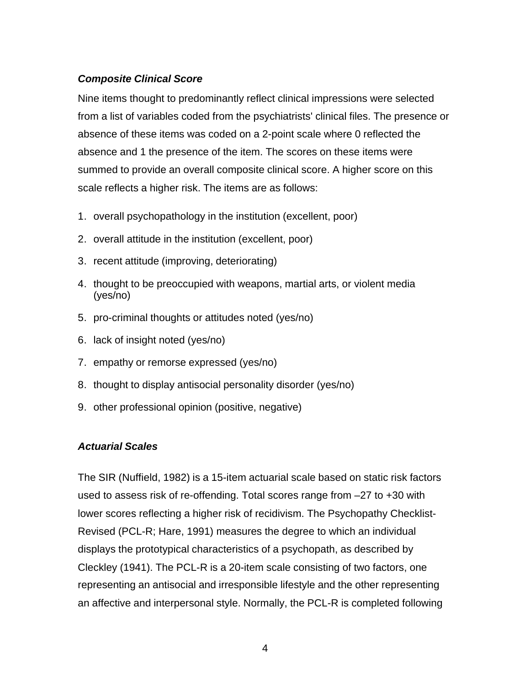# *Composite Clinical Score*

Nine items thought to predominantly reflect clinical impressions were selected from a list of variables coded from the psychiatrists' clinical files. The presence or absence of these items was coded on a 2-point scale where 0 reflected the absence and 1 the presence of the item. The scores on these items were summed to provide an overall composite clinical score. A higher score on this scale reflects a higher risk. The items are as follows:

- 1. overall psychopathology in the institution (excellent, poor)
- 2. overall attitude in the institution (excellent, poor)
- 3. recent attitude (improving, deteriorating)
- 4. thought to be preoccupied with weapons, martial arts, or violent media (yes/no)
- 5. pro-criminal thoughts or attitudes noted (yes/no)
- 6. lack of insight noted (yes/no)
- 7. empathy or remorse expressed (yes/no)
- 8. thought to display antisocial personality disorder (yes/no)
- 9. other professional opinion (positive, negative)

## *Actuarial Scales*

The SIR (Nuffield, 1982) is a 15-item actuarial scale based on static risk factors used to assess risk of re-offending. Total scores range from –27 to +30 with lower scores reflecting a higher risk of recidivism. The Psychopathy Checklist-Revised (PCL-R; Hare, 1991) measures the degree to which an individual displays the prototypical characteristics of a psychopath, as described by Cleckley (1941). The PCL-R is a 20-item scale consisting of two factors, one representing an antisocial and irresponsible lifestyle and the other representing an affective and interpersonal style. Normally, the PCL-R is completed following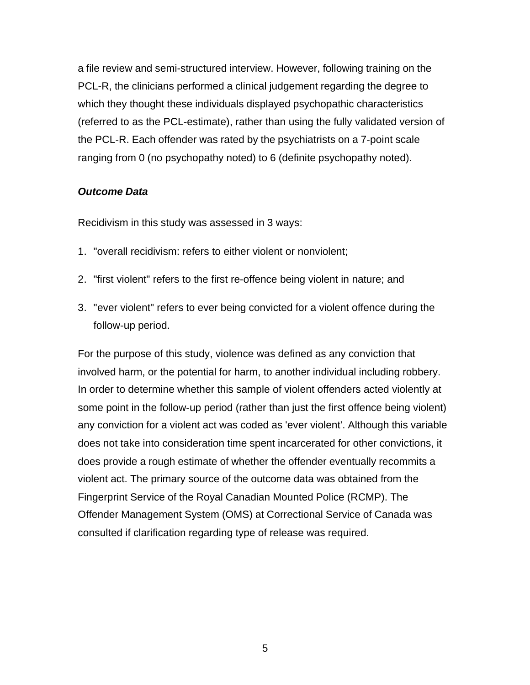a file review and semi-structured interview. However, following training on the PCL-R, the clinicians performed a clinical judgement regarding the degree to which they thought these individuals displayed psychopathic characteristics (referred to as the PCL-estimate), rather than using the fully validated version of the PCL-R. Each offender was rated by the psychiatrists on a 7-point scale ranging from 0 (no psychopathy noted) to 6 (definite psychopathy noted).

### *Outcome Data*

Recidivism in this study was assessed in 3 ways:

- 1. "overall recidivism: refers to either violent or nonviolent;
- 2. "first violent" refers to the first re-offence being violent in nature; and
- 3. "ever violent" refers to ever being convicted for a violent offence during the follow-up period.

For the purpose of this study, violence was defined as any conviction that involved harm, or the potential for harm, to another individual including robbery. In order to determine whether this sample of violent offenders acted violently at some point in the follow-up period (rather than just the first offence being violent) any conviction for a violent act was coded as 'ever violent'. Although this variable does not take into consideration time spent incarcerated for other convictions, it does provide a rough estimate of whether the offender eventually recommits a violent act. The primary source of the outcome data was obtained from the Fingerprint Service of the Royal Canadian Mounted Police (RCMP). The Offender Management System (OMS) at Correctional Service of Canada was consulted if clarification regarding type of release was required.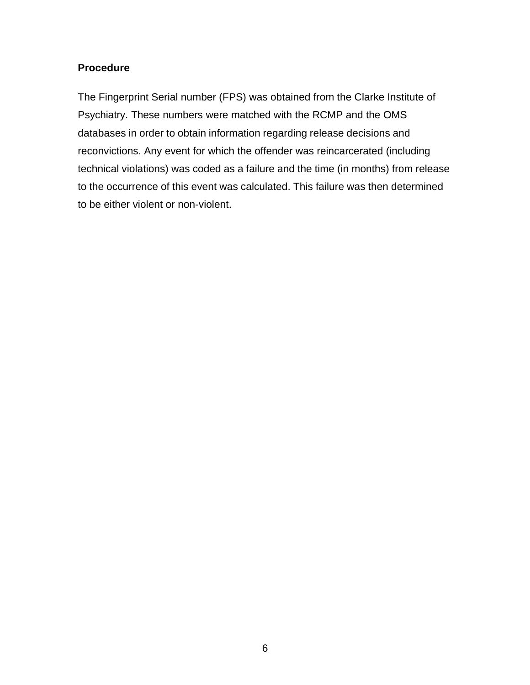# **Procedure**

The Fingerprint Serial number (FPS) was obtained from the Clarke Institute of Psychiatry. These numbers were matched with the RCMP and the OMS databases in order to obtain information regarding release decisions and reconvictions. Any event for which the offender was reincarcerated (including technical violations) was coded as a failure and the time (in months) from release to the occurrence of this event was calculated. This failure was then determined to be either violent or non-violent.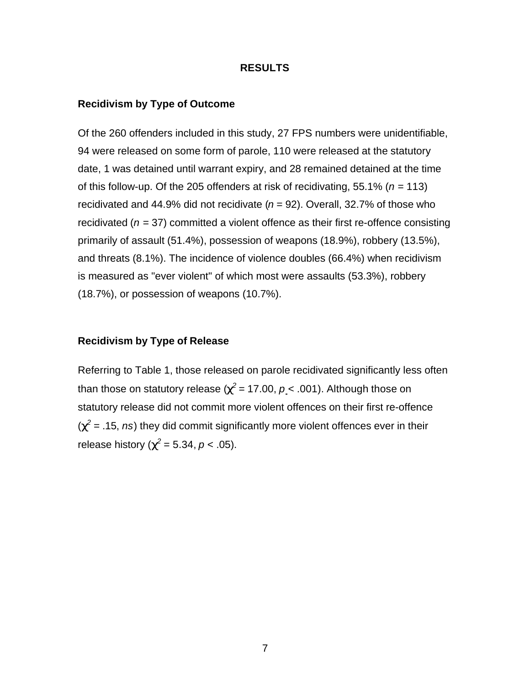#### **RESULTS**

#### **Recidivism by Type of Outcome**

Of the 260 offenders included in this study, 27 FPS numbers were unidentifiable, 94 were released on some form of parole, 110 were released at the statutory date, 1 was detained until warrant expiry, and 28 remained detained at the time of this follow-up. Of the 205 offenders at risk of recidivating, 55.1% ( $n = 113$ ) recidivated and 44.9% did not recidivate  $(n = 92)$ . Overall, 32.7% of those who recidivated (*n* = 37) committed a violent offence as their first re-offence consisting primarily of assault (51.4%), possession of weapons (18.9%), robbery (13.5%), and threats (8.1%). The incidence of violence doubles (66.4%) when recidivism is measured as "ever violent" of which most were assaults (53.3%), robbery (18.7%), or possession of weapons (10.7%).

#### **Recidivism by Type of Release**

Referring to Table 1, those released on parole recidivated significantly less often than those on statutory release ( $\boldsymbol{c^2}$  = 17.00,  $\boldsymbol{\mathcal{p}}$  < .001). Although those on statutory release did not commit more violent offences on their first re-offence  $(c^2$  = .15, *ns*) they did commit significantly more violent offences ever in their release history ( $c^2$  = 5.34, *p* < .05).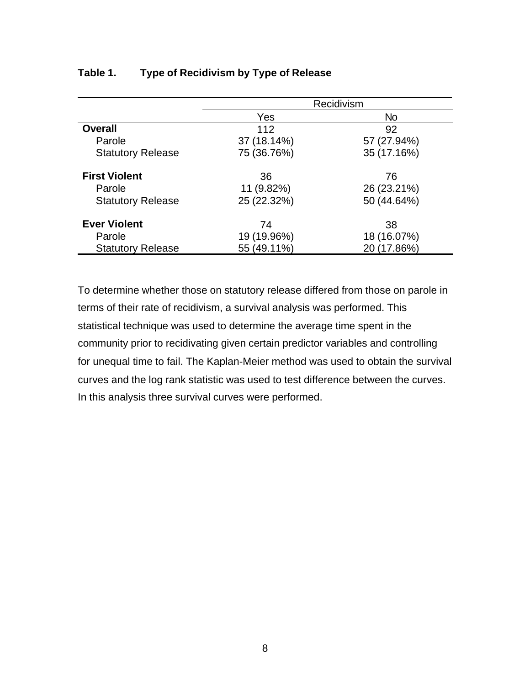|                          | Recidivism  |             |  |
|--------------------------|-------------|-------------|--|
|                          | Yes         | No          |  |
| <b>Overall</b>           | 112         | 92          |  |
| Parole                   | 37 (18.14%) | 57 (27.94%) |  |
| <b>Statutory Release</b> | 75 (36.76%) | 35 (17.16%) |  |
| <b>First Violent</b>     | 36          | 76          |  |
| Parole                   | 11 (9.82%)  | 26 (23.21%) |  |
| <b>Statutory Release</b> | 25 (22.32%) | 50 (44.64%) |  |
| <b>Ever Violent</b>      | 74          | 38          |  |
| Parole                   | 19 (19.96%) | 18 (16.07%) |  |
| <b>Statutory Release</b> | 55 (49.11%) | 20 (17.86%) |  |

# **Table 1. Type of Recidivism by Type of Release**

To determine whether those on statutory release differed from those on parole in terms of their rate of recidivism, a survival analysis was performed. This statistical technique was used to determine the average time spent in the community prior to recidivating given certain predictor variables and controlling for unequal time to fail. The Kaplan-Meier method was used to obtain the survival curves and the log rank statistic was used to test difference between the curves. In this analysis three survival curves were performed.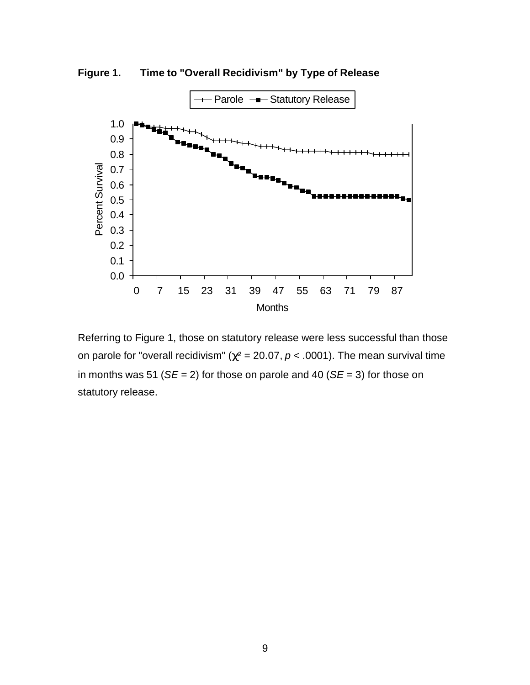**Figure 1. Time to "Overall Recidivism" by Type of Release**



Referring to Figure 1, those on statutory release were less successful than those on parole for "overall recidivism" ( $c^2$  = 20.07,  $p$  < .0001). The mean survival time in months was 51 (*SE* = 2) for those on parole and 40 (*SE* = 3) for those on statutory release.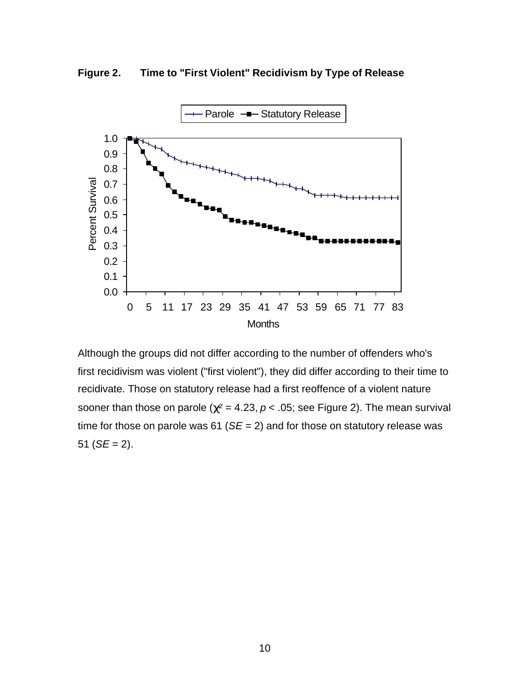**Figure 2. Time to "First Violent" Recidivism by Type of Release**



Although the groups did not differ according to the number of offenders who's first recidivism was violent ("first violent"), they did differ according to their time to recidivate. Those on statutory release had a first reoffence of a violent nature sooner than those on parole ( $c^2$  = 4.23,  $p$  < .05; see Figure 2). The mean survival time for those on parole was 61 (*SE* = 2) and for those on statutory release was 51 ( $SE = 2$ ).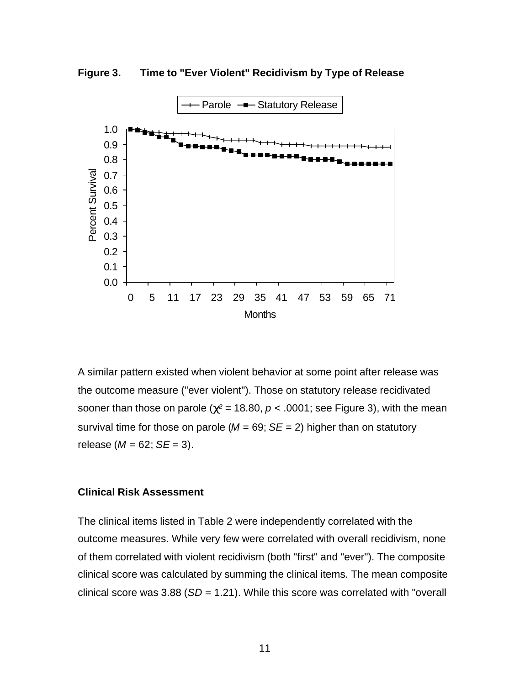



A similar pattern existed when violent behavior at some point after release was the outcome measure ("ever violent"). Those on statutory release recidivated sooner than those on parole ( $c^2$  = 18.80,  $p$  < .0001; see Figure 3), with the mean survival time for those on parole ( $M = 69$ ;  $SE = 2$ ) higher than on statutory release ( $M = 62$ ;  $SE = 3$ ).

### **Clinical Risk Assessment**

The clinical items listed in Table 2 were independently correlated with the outcome measures. While very few were correlated with overall recidivism, none of them correlated with violent recidivism (both "first" and "ever"). The composite clinical score was calculated by summing the clinical items. The mean composite clinical score was 3.88 (*SD* = 1.21). While this score was correlated with "overall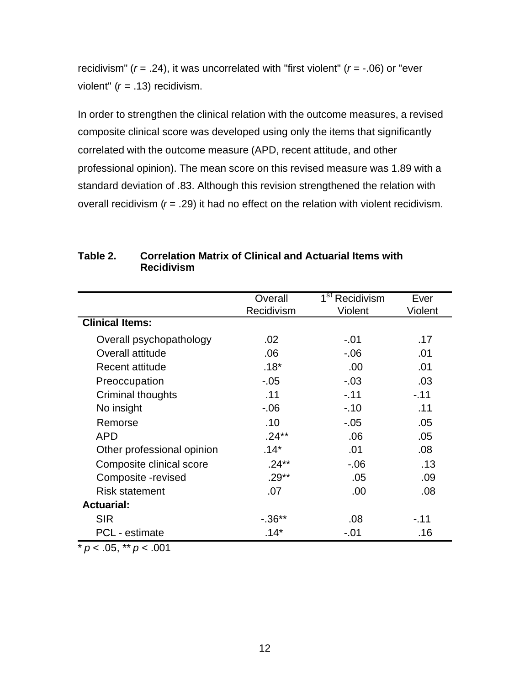recidivism" (*r* = .24), it was uncorrelated with "first violent" (*r* = -.06) or "ever violent" (*r* = .13) recidivism.

In order to strengthen the clinical relation with the outcome measures, a revised composite clinical score was developed using only the items that significantly correlated with the outcome measure (APD, recent attitude, and other professional opinion). The mean score on this revised measure was 1.89 with a standard deviation of .83. Although this revision strengthened the relation with overall recidivism (*r* = .29) it had no effect on the relation with violent recidivism.

|                            | Overall    | 1 <sup>st</sup> Recidivism | Ever    |
|----------------------------|------------|----------------------------|---------|
|                            |            |                            |         |
|                            | Recidivism | Violent                    | Violent |
| <b>Clinical Items:</b>     |            |                            |         |
| Overall psychopathology    | .02        | $-.01$                     | .17     |
| Overall attitude           | .06        | $-0.06$                    | .01     |
| Recent attitude            | $.18*$     | .00                        | .01     |
| Preoccupation              | $-.05$     | $-.03$                     | .03     |
| Criminal thoughts          | .11        | $-.11$                     | $-.11$  |
| No insight                 | $-0.06$    | $-.10$                     | .11     |
| Remorse                    | .10        | $-0.05$                    | .05     |
| APD                        | $.24**$    | .06                        | .05     |
| Other professional opinion | $.14*$     | .01                        | .08     |
| Composite clinical score   | $.24**$    | $-0.06$                    | .13     |
| Composite -revised         | $.29**$    | .05                        | .09     |
| <b>Risk statement</b>      | .07        | .00                        | .08     |
| <b>Actuarial:</b>          |            |                            |         |
| <b>SIR</b>                 | $-0.36**$  | .08                        | $-.11$  |
| <b>PCL</b> - estimate      | $.14*$     | $-.01$                     | .16     |

# **Table 2. Correlation Matrix of Clinical and Actuarial Items with Recidivism**

 $\frac{1}{\sqrt{p}}$  *p* < .05, \*\* *p* < .001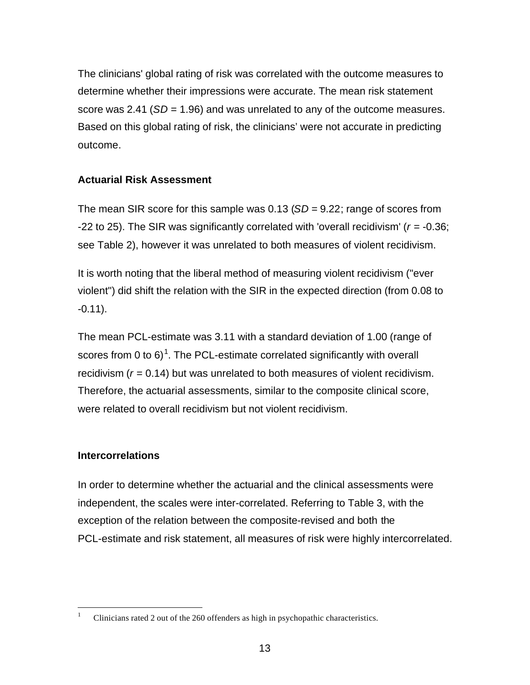The clinicians' global rating of risk was correlated with the outcome measures to determine whether their impressions were accurate. The mean risk statement score was 2.41 (*SD* = 1.96) and was unrelated to any of the outcome measures. Based on this global rating of risk, the clinicians' were not accurate in predicting outcome.

# **Actuarial Risk Assessment**

The mean SIR score for this sample was 0.13 (*SD* = 9.22; range of scores from -22 to 25). The SIR was significantly correlated with 'overall recidivism' (*r* = -0.36; see Table 2), however it was unrelated to both measures of violent recidivism.

It is worth noting that the liberal method of measuring violent recidivism ("ever violent") did shift the relation with the SIR in the expected direction (from 0.08 to -0.11).

The mean PCL-estimate was 3.11 with a standard deviation of 1.00 (range of scores from 0 to 6)<sup>1</sup>. The PCL-estimate correlated significantly with overall recidivism (*r* = 0.14) but was unrelated to both measures of violent recidivism. Therefore, the actuarial assessments, similar to the composite clinical score, were related to overall recidivism but not violent recidivism.

## **Intercorrelations**

 $\overline{a}$ 

In order to determine whether the actuarial and the clinical assessments were independent, the scales were inter-correlated. Referring to Table 3, with the exception of the relation between the composite-revised and both the PCL-estimate and risk statement, all measures of risk were highly intercorrelated.

<sup>&</sup>lt;sup>1</sup> Clinicians rated 2 out of the 260 offenders as high in psychopathic characteristics.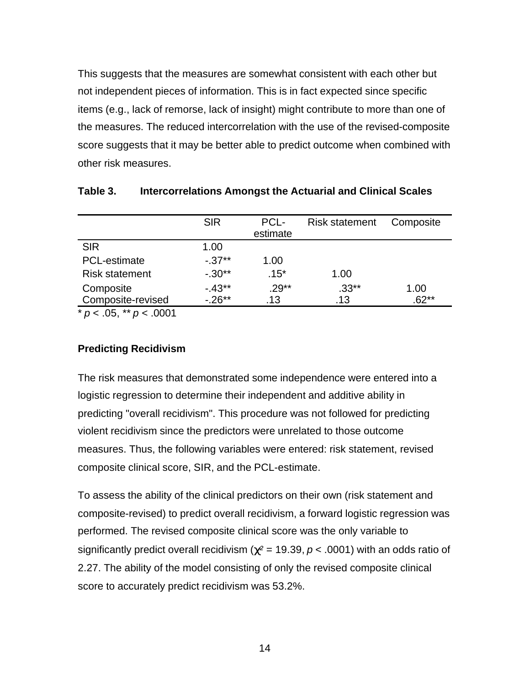This suggests that the measures are somewhat consistent with each other but not independent pieces of information. This is in fact expected since specific items (e.g., lack of remorse, lack of insight) might contribute to more than one of the measures. The reduced intercorrelation with the use of the revised-composite score suggests that it may be better able to predict outcome when combined with other risk measures.

|                       | <b>SIR</b> | PCL-<br>estimate | <b>Risk statement</b> | Composite |
|-----------------------|------------|------------------|-----------------------|-----------|
| <b>SIR</b>            | 1.00       |                  |                       |           |
| PCL-estimate          | $-.37***$  | 1.00             |                       |           |
| <b>Risk statement</b> | $-.30**$   | $.15*$           | 1.00                  |           |
| Composite             | $-.43**$   | $.29**$          | $.33**$               | 1.00      |
| Composite-revised     | $-0.26**$  | .13              | .13                   | .62**     |

**Table 3. Intercorrelations Amongst the Actuarial and Clinical Scales**

 $* p < .05, ** p < .0001$ 

## **Predicting Recidivism**

The risk measures that demonstrated some independence were entered into a logistic regression to determine their independent and additive ability in predicting "overall recidivism". This procedure was not followed for predicting violent recidivism since the predictors were unrelated to those outcome measures. Thus, the following variables were entered: risk statement, revised composite clinical score, SIR, and the PCL-estimate.

To assess the ability of the clinical predictors on their own (risk statement and composite-revised) to predict overall recidivism, a forward logistic regression was performed. The revised composite clinical score was the only variable to significantly predict overall recidivism ( $c^2$  = 19.39,  $p$  < .0001) with an odds ratio of 2.27. The ability of the model consisting of only the revised composite clinical score to accurately predict recidivism was 53.2%.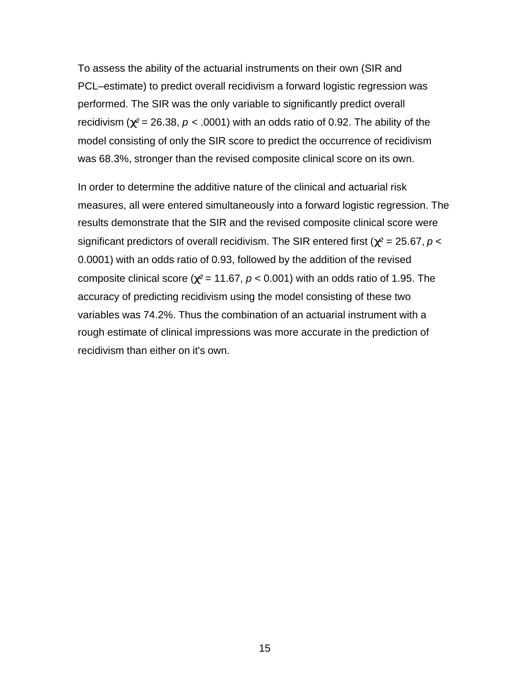To assess the ability of the actuarial instruments on their own (SIR and PCL–estimate) to predict overall recidivism a forward logistic regression was performed. The SIR was the only variable to significantly predict overall recidivism ( $c^2$  = 26.38,  $p < .0001$ ) with an odds ratio of 0.92. The ability of the model consisting of only the SIR score to predict the occurrence of recidivism was 68.3%, stronger than the revised composite clinical score on its own.

In order to determine the additive nature of the clinical and actuarial risk measures, all were entered simultaneously into a forward logistic regression. The results demonstrate that the SIR and the revised composite clinical score were significant predictors of overall recidivism. The SIR entered first ( $c^2$  = 25.67,  $p$  < 0.0001) with an odds ratio of 0.93, followed by the addition of the revised composite clinical score ( $c^2$  = 11.67,  $p$  < 0.001) with an odds ratio of 1.95. The accuracy of predicting recidivism using the model consisting of these two variables was 74.2%. Thus the combination of an actuarial instrument with a rough estimate of clinical impressions was more accurate in the prediction of recidivism than either on it's own.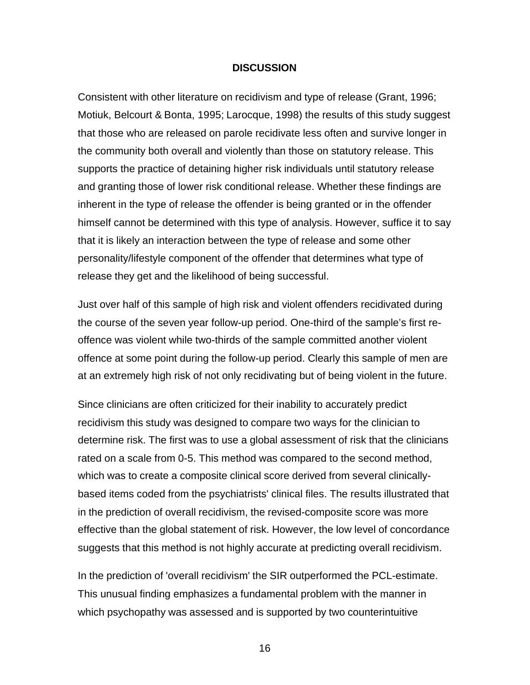#### **DISCUSSION**

Consistent with other literature on recidivism and type of release (Grant, 1996; Motiuk, Belcourt & Bonta, 1995; Larocque, 1998) the results of this study suggest that those who are released on parole recidivate less often and survive longer in the community both overall and violently than those on statutory release. This supports the practice of detaining higher risk individuals until statutory release and granting those of lower risk conditional release. Whether these findings are inherent in the type of release the offender is being granted or in the offender himself cannot be determined with this type of analysis. However, suffice it to say that it is likely an interaction between the type of release and some other personality/lifestyle component of the offender that determines what type of release they get and the likelihood of being successful.

Just over half of this sample of high risk and violent offenders recidivated during the course of the seven year follow-up period. One-third of the sample's first reoffence was violent while two-thirds of the sample committed another violent offence at some point during the follow-up period. Clearly this sample of men are at an extremely high risk of not only recidivating but of being violent in the future.

Since clinicians are often criticized for their inability to accurately predict recidivism this study was designed to compare two ways for the clinician to determine risk. The first was to use a global assessment of risk that the clinicians rated on a scale from 0-5. This method was compared to the second method, which was to create a composite clinical score derived from several clinicallybased items coded from the psychiatrists' clinical files. The results illustrated that in the prediction of overall recidivism, the revised-composite score was more effective than the global statement of risk. However, the low level of concordance suggests that this method is not highly accurate at predicting overall recidivism.

In the prediction of 'overall recidivism' the SIR outperformed the PCL-estimate. This unusual finding emphasizes a fundamental problem with the manner in which psychopathy was assessed and is supported by two counterintuitive

16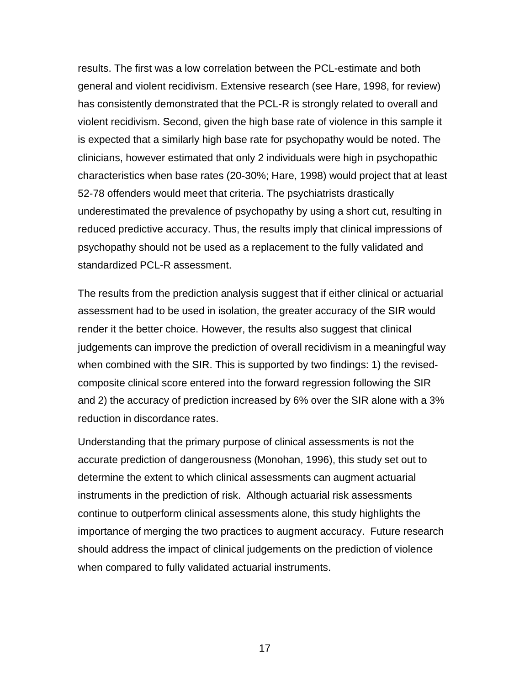results. The first was a low correlation between the PCL-estimate and both general and violent recidivism. Extensive research (see Hare, 1998, for review) has consistently demonstrated that the PCL-R is strongly related to overall and violent recidivism. Second, given the high base rate of violence in this sample it is expected that a similarly high base rate for psychopathy would be noted. The clinicians, however estimated that only 2 individuals were high in psychopathic characteristics when base rates (20-30%; Hare, 1998) would project that at least 52-78 offenders would meet that criteria. The psychiatrists drastically underestimated the prevalence of psychopathy by using a short cut, resulting in reduced predictive accuracy. Thus, the results imply that clinical impressions of psychopathy should not be used as a replacement to the fully validated and standardized PCL-R assessment.

The results from the prediction analysis suggest that if either clinical or actuarial assessment had to be used in isolation, the greater accuracy of the SIR would render it the better choice. However, the results also suggest that clinical judgements can improve the prediction of overall recidivism in a meaningful way when combined with the SIR. This is supported by two findings: 1) the revisedcomposite clinical score entered into the forward regression following the SIR and 2) the accuracy of prediction increased by 6% over the SIR alone with a 3% reduction in discordance rates.

Understanding that the primary purpose of clinical assessments is not the accurate prediction of dangerousness (Monohan, 1996), this study set out to determine the extent to which clinical assessments can augment actuarial instruments in the prediction of risk. Although actuarial risk assessments continue to outperform clinical assessments alone, this study highlights the importance of merging the two practices to augment accuracy. Future research should address the impact of clinical judgements on the prediction of violence when compared to fully validated actuarial instruments.

17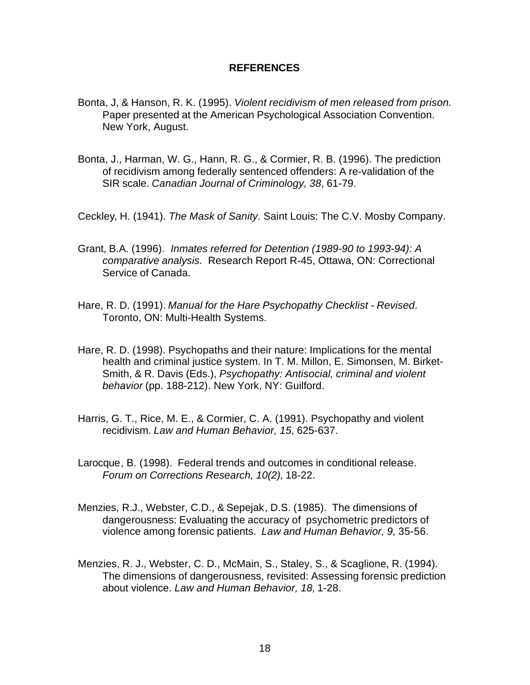### **REFERENCES**

- Bonta, J, & Hanson, R. K. (1995). *Violent recidivism of men released from prison.* Paper presented at the American Psychological Association Convention. New York, August.
- Bonta, J., Harman, W. G., Hann, R. G., & Cormier, R. B. (1996). The prediction of recidivism among federally sentenced offenders: A re-validation of the SIR scale. *Canadian Journal of Criminology, 38*, 61-79.
- Ceckley, H. (1941). *The Mask of Sanity.* Saint Louis: The C.V. Mosby Company.
- Grant, B.A. (1996). *Inmates referred for Detention (1989-90 to 1993-94): A comparative analysis.* Research Report R-45, Ottawa, ON: Correctional Service of Canada.
- Hare, R. D. (1991). *Manual for the Hare Psychopathy Checklist Revised*. Toronto, ON: Multi-Health Systems.
- Hare, R. D. (1998). Psychopaths and their nature: Implications for the mental health and criminal justice system. In T. M. Millon, E. Simonsen, M. Birket-Smith, & R. Davis (Eds.), *Psychopathy: Antisocial, criminal and violent behavior* (pp. 188-212). New York, NY: Guilford.
- Harris, G. T., Rice, M. E., & Cormier, C. A. (1991). Psychopathy and violent recidivism. *Law and Human Behavior, 15*, 625-637.
- Larocque, B. (1998). Federal trends and outcomes in conditional release. *Forum on Corrections Research, 10(2),* 18-22.
- Menzies, R.J., Webster, C.D., & Sepejak, D.S. (1985). The dimensions of dangerousness: Evaluating the accuracy of psychometric predictors of violence among forensic patients. *Law and Human Behavior, 9,* 35-56.
- Menzies, R. J., Webster, C. D., McMain, S., Staley, S., & Scaglione, R. (1994). The dimensions of dangerousness, revisited: Assessing forensic prediction about violence. *Law and Human Behavior, 18,* 1-28.